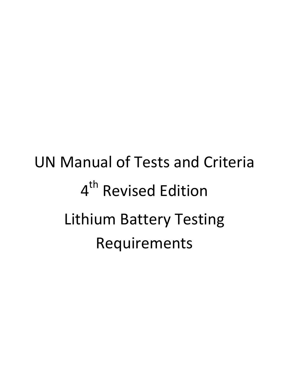# UN Manual of Tests and Criteria 4<sup>th</sup> Revised Edition Lithium Battery Testing Requirements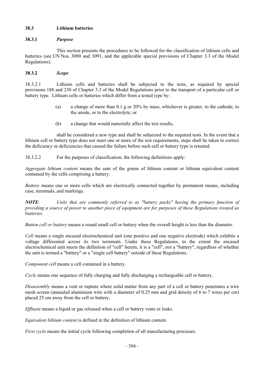# **38.3 Lithium batteries**

## **38.3.1** *Purpose*

 This section presents the procedures to be followed for the classification of lithium cells and batteries (see UN Nos. 3090 and 3091, and the applicable special provisions of Chapter 3.3 of the Model Regulations).

## **38.3.2** *Scope*

38.3.2.1 Lithium cells and batteries shall be subjected to the tests, as required by special provisions 188 and 230 of Chapter 3.3 of the Model Regulations prior to the transport of a particular cell or battery type. Lithium cells or batteries which differ from a tested type by:

- (a) a change of more than 0.1 g or 20% by mass, whichever is greater, to the cathode, to the anode, or to the electrolyte; or
- (b) a change that would materially affect the test results,

 shall be considered a new type and shall be subjected to the required tests. In the event that a lithium cell or battery type does not meet one or more of the test requirements, steps shall be taken to correct the deficiency or deficiencies that caused the failure before such cell or battery type is retested.

38.3.2.2 For the purposes of classification, the following definitions apply:

*Aggregate lithium content* means the sum of the grams of lithium content or lithium equivalent content contained by the cells comprising a battery.

*Battery* means one or more cells which are electrically connected together by permanent means, including case, terminals, and markings.

*NOTE*: *Units that are commonly referred to as "battery packs" having the primary function of providing a source of power to another piece of equipment are for purposes of these Regulations treated as batteries.* 

*Button cell or battery* means a round small cell or battery when the overall height is less than the diameter.

*Cell* means a single encased electrochemical unit (one positive and one negative electrode) which exhibits a voltage differential across its two terminals. Under these Regulations, to the extent the encased electrochemical unit meets the definition of "cell" herein, it is a "cell", not a "battery", regardless of whether the unit is termed a "battery" or a "single cell battery" outside of these Regulations.

*Component cell* means a cell contained in a battery.

*Cycle* means one sequence of fully charging and fully discharging a rechargeable cell or battery.

*Disassembly* means a vent or rupture where solid matter from any part of a cell or battery penetrates a wire mesh screen (annealed aluminium wire with a diameter of 0.25 mm and grid density of 6 to 7 wires per cm) placed 25 cm away from the cell or battery.

*Effluent* means a liquid or gas released when a cell or battery vents or leaks.

*Equivalent lithium content* is defined in the definition of lithium content.

*First cycle* means the initial cycle following completion of all manufacturing processes.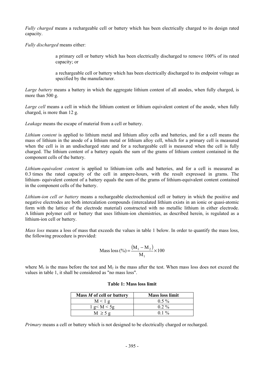*Fully charged* means a rechargeable cell or battery which has been electrically charged to its design rated capacity.

*Fully discharged* means either:

a primary cell or battery which has been electrically discharged to remove 100% of its rated capacity; or

a rechargeable cell or battery which has been electrically discharged to its endpoint voltage as specified by the manufacturer.

*Large battery* means a battery in which the aggregate lithium content of all anodes, when fully charged, is more than 500 g.

*Large cell* means a cell in which the lithium content or lithium equivalent content of the anode, when fully charged, is more than 12 g.

*Leakage* means the escape of material from a cell or battery.

*Lithium content* is applied to lithium metal and lithium alloy cells and batteries, and for a cell means the mass of lithium in the anode of a lithium metal or lithium alloy cell, which for a primary cell is measured when the cell is in an undischarged state and for a rechargeable cell is measured when the cell is fully charged. The lithium content of a battery equals the sum of the grams of lithium content contained in the component cells of the battery.

*Lithium-equivalent content* is applied to lithium-ion cells and batteries, and for a cell is measured as 0.3 times the rated capacity of the cell in ampere-hours, with the result expressed in grams. The lithium- equivalent content of a battery equals the sum of the grams of lithium-equivalent content contained in the component cells of the battery.

*Lithium-ion cell or battery* means a rechargeable electrochemical cell or battery in which the positive and negative electrodes are both intercalation compounds (intercalated lithium exists in an ionic or quasi-atomic form with the lattice of the electrode material) constructed with no metallic lithium in either electrode. A lithium polymer cell or battery that uses lithium-ion chemistries, as described herein, is regulated as a lithium-ion cell or battery.

*Mass loss* means a loss of mass that exceeds the values in table 1 below. In order to quantify the mass loss, the following procedure is provided:

Mass loss (
$$
\%
$$
) =  $\frac{(M_1 - M_2)}{M_1} \times 100$ 

where  $M_1$  is the mass before the test and  $M_2$  is the mass after the test. When mass loss does not exceed the values in table 1, it shall be considered as "no mass loss".

| Mass M of cell or battery | <b>Mass loss limit</b> |
|---------------------------|------------------------|
| M < 1 g                   | $0.5\%$                |
| 1 g < M < 5g              | $0.2\%$                |
| $M \geq 5g$               | $01\%$                 |

## **Table 1: Mass loss limit**

*Primary* means a cell or battery which is not designed to be electrically charged or recharged.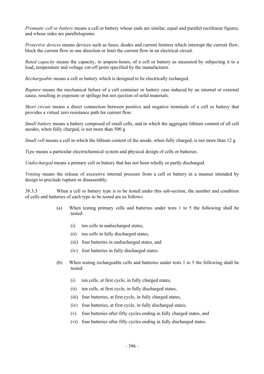*Prismatic cell or battery* means a cell or battery whose ends are similar, equal and parallel rectilinear figures, and whose sides are parallelograms.

*Protective devices* means devices such as fuses, diodes and current limiters which interrupt the current flow, block the current flow in one direction or limit the current flow in an electrical circuit.

*Rated capacity* means the capacity, in ampere-hours, of a cell or battery as measured by subjecting it to a load, temperature and voltage cut-off point specified by the manufacturer.

*Rechargeable* means a cell or battery which is designed to be electrically recharged.

*Rupture* means the mechanical failure of a cell container or battery case induced by an internal or external cause, resulting in exposure or spillage but not ejection of solid materials.

*Short circuit* means a direct connection between positive and negative terminals of a cell or battery that provides a virtual zero resistance path for current flow.

*Small battery* means a battery composed of small cells, and in which the aggregate lithium content of all cell anodes, when fully charged, is not more than 500 g.

*Small cell* means a cell in which the lithium content of the anode, when fully charged, is not more than 12 g.

*Type* means a particular electrochemical system and physical design of cells or batteries.

*Undischarged* means a primary cell or battery that has not been wholly or partly discharged.

*Venting* means the release of excessive internal pressure from a cell or battery in a manner intended by design to preclude rupture or disassembly.

38.3.3 When a cell or battery type is to be tested under this sub-section, the number and condition of cells and batteries of each type to be tested are as follows:

- (a) When testing primary cells and batteries under tests 1 to 5 the following shall be tested:
	- (i) ten cells in undischarged states,
	- (ii) ten cells in fully discharged states,
	- (iii) four batteries in undischarged states, and
	- (iv) four batteries in fully discharged states.
- (b) When testing rechargeable cells and batteries under tests 1 to 5 the following shall be tested:
	- (i) ten cells, at first cycle, in fully charged states,
	- (ii) ten cells, at first cycle, in fully discharged states,
	- (iii) four batteries, at first cycle, in fully charged states,
	- (iv) four batteries, at first cycle, in fully discharged states,
	- (v) four batteries after fifty cycles ending in fully charged states, and
	- (vi) four batteries after fifty cycles ending in fully discharged states.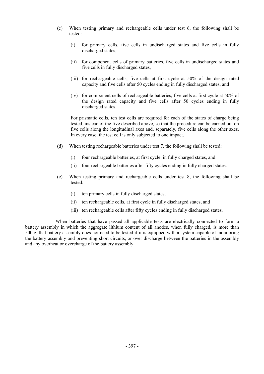- (c) When testing primary and rechargeable cells under test 6, the following shall be tested:
	- (i) for primary cells, five cells in undischarged states and five cells in fully discharged states,
	- (ii) for component cells of primary batteries, five cells in undischarged states and five cells in fully discharged states,
	- (iii) for rechargeable cells, five cells at first cycle at 50% of the design rated capacity and five cells after 50 cycles ending in fully discharged states, and
	- (iv) for component cells of rechargeable batteries, five cells at first cycle at 50% of the design rated capacity and five cells after 50 cycles ending in fully discharged states.

For prismatic cells, ten test cells are required for each of the states of charge being tested, instead of the five described above, so that the procedure can be carried out on five cells along the longitudinal axes and, separately, five cells along the other axes. In every case, the test cell is only subjected to one impact.

- (d) When testing rechargeable batteries under test 7, the following shall be tested:
	- (i) four rechargeable batteries, at first cycle, in fully charged states, and
	- (ii) four rechargeable batteries after fifty cycles ending in fully charged states.
- (e) When testing primary and rechargeable cells under test 8, the following shall be tested:
	- (i) ten primary cells in fully discharged states,
	- (ii) ten rechargeable cells, at first cycle in fully discharged states, and
	- (iii) ten rechargeable cells after fifty cycles ending in fully discharged states.

 When batteries that have passed all applicable tests are electrically connected to form a battery assembly in which the aggregate lithium content of all anodes, when fully charged, is more than 500 g, that battery assembly does not need to be tested if it is equipped with a system capable of monitoring the battery assembly and preventing short circuits, or over discharge between the batteries in the assembly and any overheat or overcharge of the battery assembly.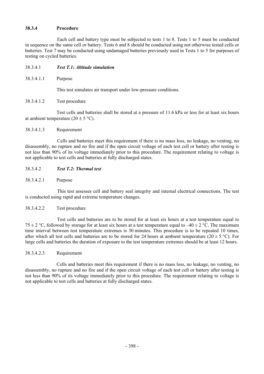## **38.3.4 Procedure**

 Each cell and battery type must be subjected to tests 1 to 8. Tests 1 to 5 must be conducted in sequence on the same cell or battery. Tests 6 and 8 should be conducted using not otherwise tested cells or batteries. Test 7 may be conducted using undamaged batteries previously used in Tests 1 to 5 for purposes of testing on cycled batteries.

## 38.3.4.1 *Test T.1: Altitude simulation*

38.3.4.1.1Purpose

This test simulates air transport under low-pressure conditions.

38.3.4.1.2Test procedure

 Test cells and batteries shall be stored at a pressure of 11.6 kPa or less for at least six hours at ambient temperature  $(20 \pm 5 \degree C)$ .

#### 38.3.4.1.3 Requirement

 Cells and batteries meet this requirement if there is no mass loss, no leakage, no venting, no disassembly, no rupture and no fire and if the open circuit voltage of each test cell or battery after testing is not less than 90% of its voltage immediately prior to this procedure. The requirement relating to voltage is not applicable to test cells and batteries at fully discharged states.

## 38.3.4.2 *Test T.2: Thermal test*

38.3.4.2.1 Purpose

 This test assesses cell and battery seal integrity and internal electrical connections. The test is conducted using rapid and extreme temperature changes.

#### 38.3.4.2.2 Test procedure

 Test cells and batteries are to be stored for at least six hours at a test temperature equal to 75  $\pm$  2 °C, followed by storage for at least six hours at a test temperature equal to  $-40 \pm 2$  °C. The maximum time interval between test temperature extremes is 30 minutes. This procedure is to be repeated 10 times, after which all test cells and batteries are to be stored for 24 hours at ambient temperature ( $20 \pm 5$  °C). For large cells and batteries the duration of exposure to the test temperature extremes should be at least 12 hours.

#### 38.3.4.2.3Requirement

 Cells and batteries meet this requirement if there is no mass loss, no leakage, no venting, no disassembly, no rupture and no fire and if the open circuit voltage of each test cell or battery after testing is not less than 90% of its voltage immediately prior to this procedure. The requirement relating to voltage is not applicable to test cells and batteries at fully discharged states.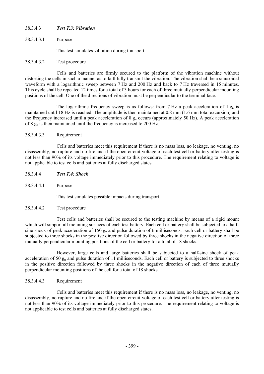# 38.3.4.3 *Test T.3: Vibration*

38.3.4.3.1Purpose

This test simulates vibration during transport.

## 38.3.4.3.2Test procedure

 Cells and batteries are firmly secured to the platform of the vibration machine without distorting the cells in such a manner as to faithfully transmit the vibration. The vibration shall be a sinusoidal waveform with a logarithmic sweep between 7 Hz and 200 Hz and back to 7 Hz traversed in 15 minutes. This cycle shall be repeated 12 times for a total of 3 hours for each of three mutually perpendicular mounting positions of the cell. One of the directions of vibration must be perpendicular to the terminal face.

The logarithmic frequency sweep is as follows: from 7 Hz a peak acceleration of 1  $g_n$  is maintained until 18 Hz is reached. The amplitude is then maintained at 0.8 mm (1.6 mm total excursion) and the frequency increased until a peak acceleration of  $8 \text{ g}_n$  occurs (approximately 50 Hz). A peak acceleration of 8  $g_n$  is then maintained until the frequency is increased to 200 Hz.

## 38.3.4.3.3Requirement

 Cells and batteries meet this requirement if there is no mass loss, no leakage, no venting, no disassembly, no rupture and no fire and if the open circuit voltage of each test cell or battery after testing is not less than 90% of its voltage immediately prior to this procedure. The requirement relating to voltage is not applicable to test cells and batteries at fully discharged states.

- 38.3.4.4 *Test T.4: Shock*
- 38.3.4.4.1Purpose

This test simulates possible impacts during transport.

#### 38.3.4.4.2Test procedure

 Test cells and batteries shall be secured to the testing machine by means of a rigid mount which will support all mounting surfaces of each test battery. Each cell or battery shall be subjected to a halfsine shock of peak acceleration of 150  $g_n$  and pulse duration of 6 milliseconds. Each cell or battery shall be subjected to three shocks in the positive direction followed by three shocks in the negative direction of three mutually perpendicular mounting positions of the cell or battery for a total of 18 shocks.

 However, large cells and large batteries shall be subjected to a half-sine shock of peak acceleration of 50 g<sub>n</sub> and pulse duration of 11 milliseconds. Each cell or battery is subjected to three shocks in the positive direction followed by three shocks in the negative direction of each of three mutually perpendicular mounting positions of the cell for a total of 18 shocks.

# 38.3.4.4.3Requirement

 Cells and batteries meet this requirement if there is no mass loss, no leakage, no venting, no disassembly, no rupture and no fire and if the open circuit voltage of each test cell or battery after testing is not less than 90% of its voltage immediately prior to this procedure. The requirement relating to voltage is not applicable to test cells and batteries at fully discharged states.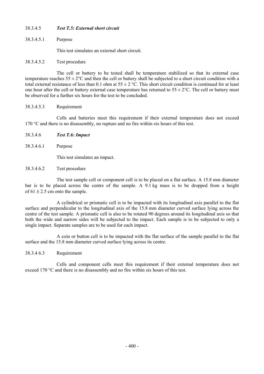# 38.3.4.5 *Test T.5: External short circuit*

38.3.4.5.1 Purpose

This test simulates an external short circuit.

## 38.3.4.5.2 Test procedure

 The cell or battery to be tested shall be temperature stabilized so that its external case temperature reaches  $55 \pm 2^{\circ}$ C and then the cell or battery shall be subjected to a short circuit condition with a total external resistance of less than 0.1 ohm at  $55 \pm 2$  °C. This short circuit condition is continued for at least one hour after the cell or battery external case temperature has returned to  $55 \pm 2$ °C. The cell or battery must be observed for a further six hours for the test to be concluded.

## 38.3.4.5.3 Requirement

 Cells and batteries meet this requirement if their external temperature does not exceed 170 °C and there is no disassembly, no rupture and no fire within six hours of this test.

- 38.3.4.6 *Test T.6: Impact*
- 38.3.4.6.1 Purpose

This test simulates an impact.

38.3.4.6.2 Test procedure

 The test sample cell or component cell is to be placed on a flat surface. A 15.8 mm diameter bar is to be placed across the centre of the sample. A 9.1 kg mass is to be dropped from a height of  $61 \pm 2.5$  cm onto the sample.

 A cylindrical or prismatic cell is to be impacted with its longitudinal axis parallel to the flat surface and perpendicular to the longitudinal axis of the 15.8 mm diameter curved surface lying across the centre of the test sample. A prismatic cell is also to be rotated 90 degrees around its longitudinal axis so that both the wide and narrow sides will be subjected to the impact. Each sample is to be subjected to only a single impact. Separate samples are to be used for each impact.

 A coin or button cell is to be impacted with the flat surface of the sample parallel to the flat surface and the 15.8 mm diameter curved surface lying across its centre.

# 38.3.4 6.3 Requirement

 Cells and component cells meet this requirement if their external temperature does not exceed 170 °C and there is no disassembly and no fire within six hours of this test.